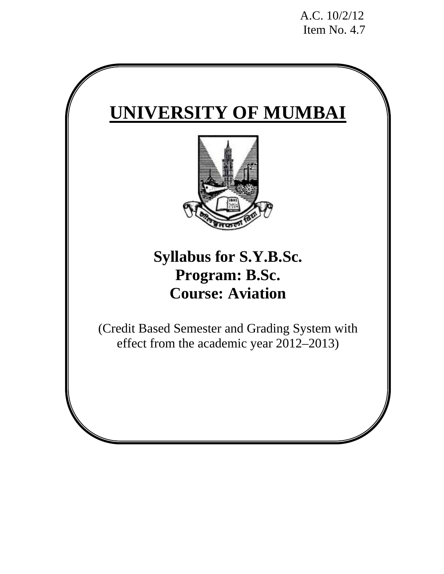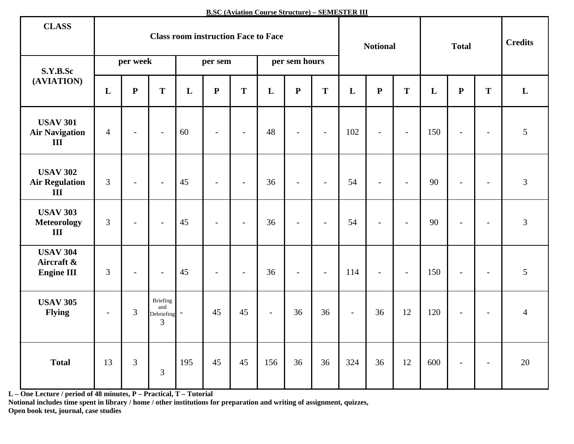**B.SC (Aviation Course Structure) – SEMESTER III**

| <b>CLASS</b>                                       | <b>Class room instruction Face to Face</b> |                |                                      |         |                          |        | <b>Notional</b> |                          | <b>Total</b>   |                           |                | <b>Credits</b>              |     |                          |                          |                |
|----------------------------------------------------|--------------------------------------------|----------------|--------------------------------------|---------|--------------------------|--------|-----------------|--------------------------|----------------|---------------------------|----------------|-----------------------------|-----|--------------------------|--------------------------|----------------|
| S.Y.B.Sc                                           |                                            | per week       |                                      | per sem |                          |        |                 | per sem hours            |                |                           |                |                             |     |                          |                          |                |
| (AVIATION)                                         | L                                          | ${\bf P}$      | T                                    | L       | ${\bf P}$                | T      | L               | ${\bf P}$                | T              | L                         | ${\bf P}$<br>T |                             | L   | ${\bf P}$                | T                        | L              |
| <b>USAV 301</b><br><b>Air Navigation</b><br>III    | $\overline{4}$                             | $\blacksquare$ | $\blacksquare$                       | 60      | $\blacksquare$           | $\sim$ | 48              | $\blacksquare$           | $\blacksquare$ | 102                       | $\mathbb{L}$   | $\mathcal{L}_{\mathcal{A}}$ | 150 | $\overline{\phantom{a}}$ | $\overline{\phantom{a}}$ | 5              |
| <b>USAV 302</b><br><b>Air Regulation</b><br>III    | $\overline{3}$                             | $\sim$         | $\mathbb{L}$                         | 45      | $\frac{1}{2}$            | $\sim$ | 36              | $\blacksquare$           | $\blacksquare$ | 54                        | $\blacksquare$ | $\sim$                      | 90  | $\blacksquare$           | $\blacksquare$           | $\overline{3}$ |
| <b>USAV 303</b><br><b>Meteorology</b><br>III       | $\overline{3}$                             | $\sim$         | $\mathcal{L}$                        | 45      | $\overline{\phantom{a}}$ | $\sim$ | 36              | $\overline{\phantom{a}}$ | $\blacksquare$ | 54                        | $\blacksquare$ | $\sim$                      | 90  | $\overline{\phantom{a}}$ | $\blacksquare$           | 3              |
| <b>USAV 304</b><br>Aircraft &<br><b>Engine III</b> | 3                                          | $\blacksquare$ | $\blacksquare$                       | 45      | $\blacksquare$           | $\sim$ | 36              | $\blacksquare$           | $\blacksquare$ | 114                       | $\mathbb{L}$   | $\overline{\phantom{a}}$    | 150 | $\overline{\phantom{a}}$ | $\blacksquare$           | 5              |
| <b>USAV 305</b><br><b>Flying</b>                   | $\blacksquare$                             | $\overline{3}$ | Briefing<br>and<br>Debriefing -<br>3 |         | 45                       | 45     | $\sim$          | 36                       | 36             | $\mathbb{L}^{\mathbb{N}}$ | 36             | 12                          | 120 | $\blacksquare$           | $\overline{\phantom{a}}$ | $\overline{4}$ |
| <b>Total</b>                                       | 13                                         | 3              | $\mathfrak{Z}$                       | 195     | 45                       | 45     | 156             | 36                       | 36             | 324                       | 36             | 12                          | 600 | $\overline{\phantom{a}}$ | $\blacksquare$           | 20             |

**L – One Lecture / period of 48 minutes, P – Practical, T – Tutorial** 

**Notional includes time spent in library / home / other institutions for preparation and writing of assignment, quizzes, Open book test, journal, case studies**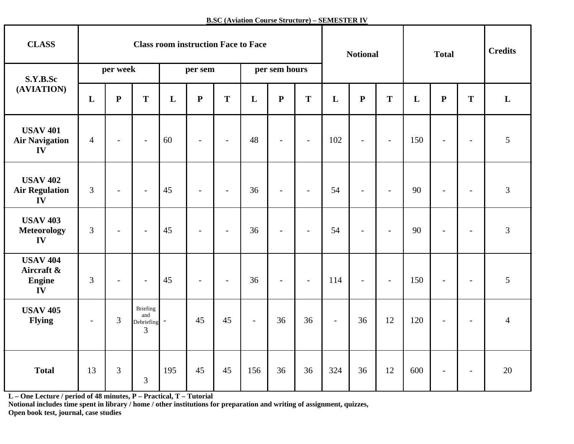**B.SC (Aviation Course Structure) – SEMESTER IV**

| <b>CLASS</b>                                         | <b>Class room instruction Face to Face</b> |                          |                                      |         |                          |                          |                | <b>Notional</b>          |                          |              | <b>Total</b>             |                          |     | <b>Credits</b>           |                          |                |
|------------------------------------------------------|--------------------------------------------|--------------------------|--------------------------------------|---------|--------------------------|--------------------------|----------------|--------------------------|--------------------------|--------------|--------------------------|--------------------------|-----|--------------------------|--------------------------|----------------|
| S.Y.B.Sc                                             |                                            | per week                 |                                      | per sem |                          |                          | per sem hours  |                          |                          |              |                          |                          |     |                          |                          |                |
| (AVIATION)                                           | L                                          | ${\bf P}$                | T                                    | L       | $\mathbf{P}$             | T                        | $\mathbf L$    | ${\bf P}$                | T                        | $\mathbf{L}$ | $\mathbf{P}$             | T                        | L   | ${\bf P}$                | T                        | $\mathbf{L}$   |
| <b>USAV 401</b><br><b>Air Navigation</b><br>IV       | $\overline{4}$                             | $\overline{\phantom{a}}$ | $\blacksquare$                       | 60      | $\blacksquare$           | $\sim$                   | 48             | $\sim$                   | $\sim$                   | 102          | $\blacksquare$           | $\blacksquare$           | 150 | $\sim$                   | $\blacksquare$           | 5              |
| <b>USAV 402</b><br><b>Air Regulation</b><br>IV       | 3                                          | $\blacksquare$           | $\sim$                               | 45      | $\blacksquare$           | $\sim$                   | 36             | $\sim$                   | $\sim$                   | 54           | $\overline{\phantom{a}}$ | $\blacksquare$           | 90  | $\blacksquare$           | $\equiv$                 | 3              |
| <b>USAV 403</b><br><b>Meteorology</b><br>IV          | $\overline{3}$                             | $\overline{\phantom{a}}$ | $\overline{\phantom{a}}$             | 45      | $\overline{\phantom{a}}$ | $\blacksquare$           | 36             | $\overline{\phantom{a}}$ | $\overline{\phantom{a}}$ | 54           | $\overline{\phantom{a}}$ | $\overline{\phantom{a}}$ | 90  | $\overline{\phantom{a}}$ | $\overline{\phantom{a}}$ | 3              |
| <b>USAV 404</b><br>Aircraft &<br><b>Engine</b><br>IV | 3                                          | $\overline{\phantom{a}}$ | $\blacksquare$                       | 45      | $\blacksquare$           | $\overline{\phantom{a}}$ | 36             | $\blacksquare$           | $\mathbb{L}$             | 114          | $\blacksquare$           | $\blacksquare$           | 150 | $\blacksquare$           | $\overline{\phantom{a}}$ | 5              |
| <b>USAV 405</b><br><b>Flying</b>                     | $\overline{\phantom{a}}$                   | 3                        | Briefing<br>and<br>Debriefing -<br>3 |         | 45                       | 45                       | $\blacksquare$ | 36                       | 36                       | $\mathbb{L}$ | 36                       | 12                       | 120 | $\overline{\phantom{a}}$ | $\overline{\phantom{a}}$ | $\overline{4}$ |
| <b>Total</b>                                         | 13                                         | 3                        | 3                                    | 195     | 45                       | 45                       | 156            | 36                       | 36                       | 324          | 36                       | 12                       | 600 | $\overline{\phantom{a}}$ | $\overline{\phantom{a}}$ | 20             |

**L – One Lecture / period of 48 minutes, P – Practical, T – Tutorial** 

**Notional includes time spent in library / home / other institutions for preparation and writing of assignment, quizzes, Open book test, journal, case studies**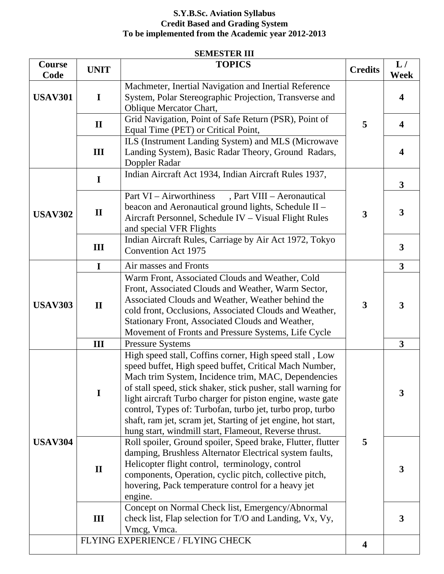## **S.Y.B.Sc. Aviation Syllabus Credit Based and Grading System To be implemented from the Academic year 2012-2013**

## **SEMESTER III**

| Course<br>Code | <b>UNIT</b>  | <b>TOPICS</b>                                                                                                                                                                                                                                                                                                                                                                                                                                                                                  | <b>Credits</b> | L/<br><b>Week</b>       |
|----------------|--------------|------------------------------------------------------------------------------------------------------------------------------------------------------------------------------------------------------------------------------------------------------------------------------------------------------------------------------------------------------------------------------------------------------------------------------------------------------------------------------------------------|----------------|-------------------------|
| <b>USAV301</b> | $\mathbf I$  | Machmeter, Inertial Navigation and Inertial Reference<br>System, Polar Stereographic Projection, Transverse and<br>Oblique Mercator Chart,                                                                                                                                                                                                                                                                                                                                                     |                | $\overline{\mathbf{4}}$ |
|                | $\mathbf{I}$ | Grid Navigation, Point of Safe Return (PSR), Point of<br>Equal Time (PET) or Critical Point,                                                                                                                                                                                                                                                                                                                                                                                                   | 5              | $\overline{\mathbf{4}}$ |
|                | Ш            | ILS (Instrument Landing System) and MLS (Microwave<br>Landing System), Basic Radar Theory, Ground Radars,<br>Doppler Radar                                                                                                                                                                                                                                                                                                                                                                     |                | $\overline{\mathbf{4}}$ |
|                | $\mathbf I$  | Indian Aircraft Act 1934, Indian Aircraft Rules 1937,                                                                                                                                                                                                                                                                                                                                                                                                                                          |                | 3 <sup>1</sup>          |
| <b>USAV302</b> | $\mathbf{I}$ | Part VI - Airworthiness<br>, Part VIII - Aeronautical<br>beacon and Aeronautical ground lights, Schedule II -<br>Aircraft Personnel, Schedule IV - Visual Flight Rules<br>and special VFR Flights                                                                                                                                                                                                                                                                                              | 3              | $\mathbf{3}$            |
|                | Ш            | Indian Aircraft Rules, Carriage by Air Act 1972, Tokyo<br><b>Convention Act 1975</b>                                                                                                                                                                                                                                                                                                                                                                                                           |                | $\mathbf{3}$            |
|                | $\mathbf I$  | Air masses and Fronts                                                                                                                                                                                                                                                                                                                                                                                                                                                                          |                | $\overline{\mathbf{3}}$ |
| <b>USAV303</b> | $\mathbf{I}$ | Warm Front, Associated Clouds and Weather, Cold<br>Front, Associated Clouds and Weather, Warm Sector,<br>Associated Clouds and Weather, Weather behind the<br>cold front, Occlusions, Associated Clouds and Weather,<br>Stationary Front, Associated Clouds and Weather,<br>Movement of Fronts and Pressure Systems, Life Cycle                                                                                                                                                                | 3              | 3                       |
|                | III          | Pressure Systems                                                                                                                                                                                                                                                                                                                                                                                                                                                                               |                | $\overline{\mathbf{3}}$ |
|                | $\mathbf I$  | High speed stall, Coffins corner, High speed stall, Low<br>speed buffet, High speed buffet, Critical Mach Number,<br>Mach trim System, Incidence trim, MAC, Dependencies<br>of stall speed, stick shaker, stick pusher, stall warning for<br>light aircraft Turbo charger for piston engine, waste gate<br>control, Types of: Turbofan, turbo jet, turbo prop, turbo<br>shaft, ram jet, scram jet, Starting of jet engine, hot start,<br>hung start, windmill start, Flameout, Reverse thrust. |                | 3                       |
| <b>USAV304</b> | $\mathbf{I}$ | Roll spoiler, Ground spoiler, Speed brake, Flutter, flutter<br>damping, Brushless Alternator Electrical system faults,<br>Helicopter flight control, terminology, control<br>components, Operation, cyclic pitch, collective pitch,<br>hovering, Pack temperature control for a heavy jet<br>engine.                                                                                                                                                                                           | 5              | 3                       |
|                | Ш            | Concept on Normal Check list, Emergency/Abnormal<br>check list, Flap selection for T/O and Landing, Vx, Vy,<br>Vmcg, Vmca.                                                                                                                                                                                                                                                                                                                                                                     |                | 3                       |
|                |              | FLYING EXPERIENCE / FLYING CHECK                                                                                                                                                                                                                                                                                                                                                                                                                                                               | 4              |                         |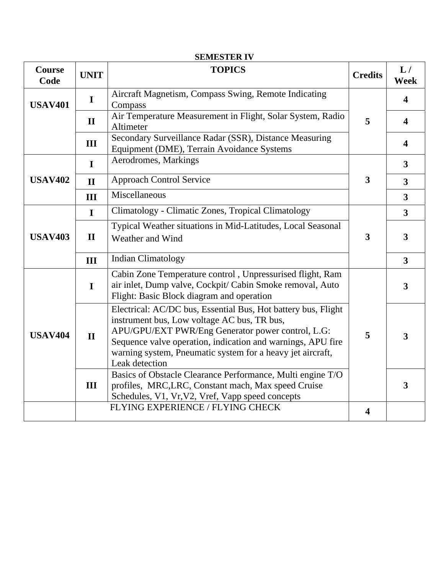| <b>Course</b><br>Code | <b>UNIT</b>  | <b>TOPICS</b>                                                                                                                                                                                                                                                                                                    | <b>Credits</b> | L/<br><b>Week</b>       |
|-----------------------|--------------|------------------------------------------------------------------------------------------------------------------------------------------------------------------------------------------------------------------------------------------------------------------------------------------------------------------|----------------|-------------------------|
| <b>USAV401</b>        | $\mathbf I$  | Aircraft Magnetism, Compass Swing, Remote Indicating<br>Compass                                                                                                                                                                                                                                                  |                | $\overline{\mathbf{4}}$ |
|                       | $\mathbf{I}$ | Air Temperature Measurement in Flight, Solar System, Radio<br>Altimeter                                                                                                                                                                                                                                          | 5              | $\overline{\mathbf{4}}$ |
|                       | Ш            | Secondary Surveillance Radar (SSR), Distance Measuring<br>Equipment (DME), Terrain Avoidance Systems                                                                                                                                                                                                             |                | $\overline{\mathbf{4}}$ |
|                       | $\bf{I}$     | Aerodromes, Markings                                                                                                                                                                                                                                                                                             |                | $\overline{\mathbf{3}}$ |
| <b>USAV402</b>        | $\mathbf{I}$ | <b>Approach Control Service</b>                                                                                                                                                                                                                                                                                  | 3              | $\overline{\mathbf{3}}$ |
|                       | III          | Miscellaneous                                                                                                                                                                                                                                                                                                    |                | $\overline{\mathbf{3}}$ |
|                       | $\bf{I}$     | Climatology - Climatic Zones, Tropical Climatology                                                                                                                                                                                                                                                               |                | $\overline{\mathbf{3}}$ |
| <b>USAV403</b>        | $\mathbf{I}$ | Typical Weather situations in Mid-Latitudes, Local Seasonal<br>Weather and Wind                                                                                                                                                                                                                                  | 3              | $\overline{\mathbf{3}}$ |
|                       | III          | <b>Indian Climatology</b>                                                                                                                                                                                                                                                                                        |                | $\overline{\mathbf{3}}$ |
|                       | $\mathbf I$  | Cabin Zone Temperature control, Unpressurised flight, Ram<br>air inlet, Dump valve, Cockpit/ Cabin Smoke removal, Auto<br>Flight: Basic Block diagram and operation                                                                                                                                              |                | $\overline{\mathbf{3}}$ |
| <b>USAV404</b>        | $\Pi$        | Electrical: AC/DC bus, Essential Bus, Hot battery bus, Flight<br>instrument bus, Low voltage AC bus, TR bus,<br>APU/GPU/EXT PWR/Eng Generator power control, L.G:<br>Sequence valve operation, indication and warnings, APU fire<br>warning system, Pneumatic system for a heavy jet aircraft,<br>Leak detection | 5              | 3                       |
|                       | III          | Basics of Obstacle Clearance Performance, Multi engine T/O<br>profiles, MRC, LRC, Constant mach, Max speed Cruise<br>Schedules, V1, Vr, V2, Vref, Vapp speed concepts                                                                                                                                            |                | $\overline{\mathbf{3}}$ |
|                       |              | FLYING EXPERIENCE / FLYING CHECK                                                                                                                                                                                                                                                                                 | 4              |                         |

## **SEMESTER IV**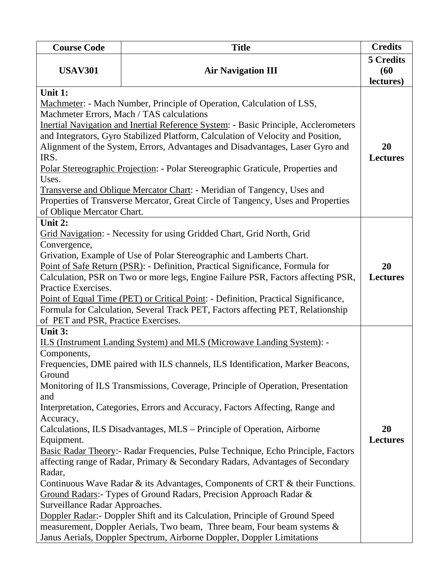| <b>Course Code</b>                                                                                                                                                                                                                                                                                                                                                                                                                                                                                                                                                                                                                                                                         | <b>Title</b>                                                                                                                                                                                                                                                                                                                                                                                                                                                                                                                                                                                                                                                                                                                                                                                                                                                                                                                                                             | <b>Credits</b>                 |  |  |
|--------------------------------------------------------------------------------------------------------------------------------------------------------------------------------------------------------------------------------------------------------------------------------------------------------------------------------------------------------------------------------------------------------------------------------------------------------------------------------------------------------------------------------------------------------------------------------------------------------------------------------------------------------------------------------------------|--------------------------------------------------------------------------------------------------------------------------------------------------------------------------------------------------------------------------------------------------------------------------------------------------------------------------------------------------------------------------------------------------------------------------------------------------------------------------------------------------------------------------------------------------------------------------------------------------------------------------------------------------------------------------------------------------------------------------------------------------------------------------------------------------------------------------------------------------------------------------------------------------------------------------------------------------------------------------|--------------------------------|--|--|
| <b>USAV301</b>                                                                                                                                                                                                                                                                                                                                                                                                                                                                                                                                                                                                                                                                             | <b>Air Navigation III</b>                                                                                                                                                                                                                                                                                                                                                                                                                                                                                                                                                                                                                                                                                                                                                                                                                                                                                                                                                | 5 Credits<br>(60)<br>lectures) |  |  |
| Unit 1:<br>Machmeter: - Mach Number, Principle of Operation, Calculation of LSS,<br>Machmeter Errors, Mach / TAS calculations<br>Inertial Navigation and Inertial Reference System: - Basic Principle, Acclerometers<br>and Integrators, Gyro Stabilized Platform, Calculation of Velocity and Position,<br>Alignment of the System, Errors, Advantages and Disadvantages, Laser Gyro and<br>IRS.<br>Polar Stereographic Projection: - Polar Stereographic Graticule, Properties and<br>Uses.<br>Transverse and Oblique Mercator Chart: - Meridian of Tangency, Uses and<br>Properties of Transverse Mercator, Great Circle of Tangency, Uses and Properties<br>of Oblique Mercator Chart. |                                                                                                                                                                                                                                                                                                                                                                                                                                                                                                                                                                                                                                                                                                                                                                                                                                                                                                                                                                          |                                |  |  |
| Unit 2:<br>Grid Navigation: - Necessity for using Gridded Chart, Grid North, Grid<br>Convergence,<br>Grivation, Example of Use of Polar Stereographic and Lamberts Chart.<br>Point of Safe Return (PSR): - Definition, Practical Significance, Formula for<br>Calculation, PSR on Two or more legs, Engine Failure PSR, Factors affecting PSR,<br>Practice Exercises.<br>Point of Equal Time (PET) or Critical Point: - Definition, Practical Significance,<br>Formula for Calculation, Several Track PET, Factors affecting PET, Relationship<br>of PET and PSR, Practice Exercises.                                                                                                      |                                                                                                                                                                                                                                                                                                                                                                                                                                                                                                                                                                                                                                                                                                                                                                                                                                                                                                                                                                          |                                |  |  |
| Unit 3:<br>Components,<br>Ground<br>and<br>Accuracy,<br>Equipment.<br>Radar,<br>Surveillance Radar Approaches.                                                                                                                                                                                                                                                                                                                                                                                                                                                                                                                                                                             | ILS (Instrument Landing System) and MLS (Microwave Landing System): -<br>Frequencies, DME paired with ILS channels, ILS Identification, Marker Beacons,<br>Monitoring of ILS Transmissions, Coverage, Principle of Operation, Presentation<br>Interpretation, Categories, Errors and Accuracy, Factors Affecting, Range and<br>Calculations, ILS Disadvantages, MLS – Principle of Operation, Airborne<br>Basic Radar Theory: - Radar Frequencies, Pulse Technique, Echo Principle, Factors<br>affecting range of Radar, Primary & Secondary Radars, Advantages of Secondary<br>Continuous Wave Radar & its Advantages, Components of CRT & their Functions.<br>Ground Radars:- Types of Ground Radars, Precision Approach Radar &<br>Doppler Radar: - Doppler Shift and its Calculation, Principle of Ground Speed<br>measurement, Doppler Aerials, Two beam, Three beam, Four beam systems &<br>Janus Aerials, Doppler Spectrum, Airborne Doppler, Doppler Limitations | 20<br><b>Lectures</b>          |  |  |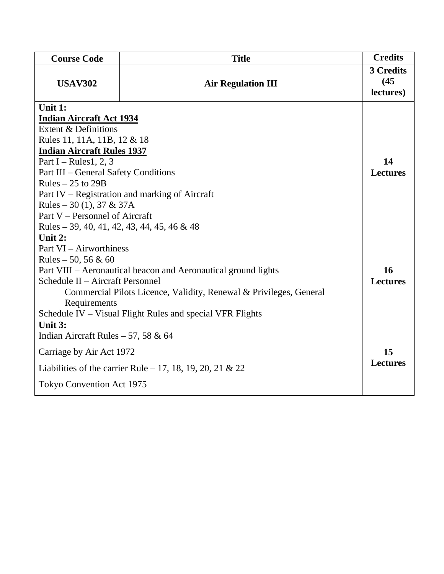| <b>Course Code</b>                                                                                                                                                                                                                                                                                                                                                                                       | <b>Title</b>              | <b>Credits</b>                 |  |  |
|----------------------------------------------------------------------------------------------------------------------------------------------------------------------------------------------------------------------------------------------------------------------------------------------------------------------------------------------------------------------------------------------------------|---------------------------|--------------------------------|--|--|
| <b>USAV302</b>                                                                                                                                                                                                                                                                                                                                                                                           | <b>Air Regulation III</b> | 3 Credits<br>(45)<br>lectures) |  |  |
| Unit 1:<br><b>Indian Aircraft Act 1934</b><br>Extent & Definitions<br>Rules 11, 11A, 11B, 12 & 18<br><b>Indian Aircraft Rules 1937</b><br>Part I – Rules 1, 2, 3<br>Part III - General Safety Conditions<br>Rules $-25$ to 29B<br>Part IV – Registration and marking of Aircraft<br>Rules – 30 (1), 37 & 37A<br>Part V – Personnel of Aircraft<br>Rules – 39, 40, 41, 42, 43, 44, 45, 46 & 48<br>Unit 2: |                           |                                |  |  |
| Part VI - Airworthiness<br>Rules $-50, 56 & 60$<br>Part VIII - Aeronautical beacon and Aeronautical ground lights<br>Schedule II - Aircraft Personnel<br>Commercial Pilots Licence, Validity, Renewal & Privileges, General<br>Requirements                                                                                                                                                              |                           |                                |  |  |
| Schedule IV – Visual Flight Rules and special VFR Flights<br>Unit 3:<br>Indian Aircraft Rules $-57,58 \& 64$<br>Carriage by Air Act 1972<br>Liabilities of the carrier Rule – 17, 18, 19, 20, 21 & 22<br><b>Tokyo Convention Act 1975</b>                                                                                                                                                                |                           |                                |  |  |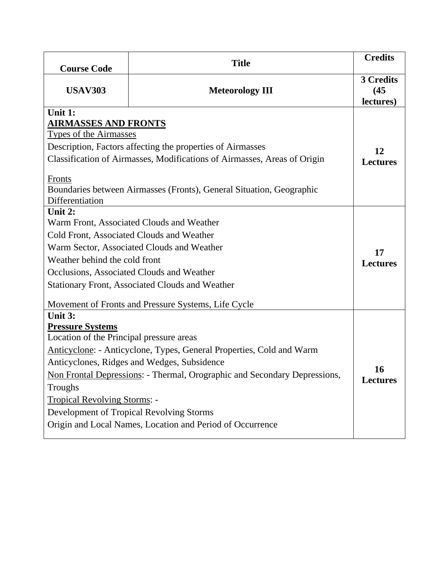| <b>Course Code</b>                                                                                                                                                                                                                                                                                                                                                                                                                                                                                   | <b>Title</b>           | <b>Credits</b>                 |  |  |  |
|------------------------------------------------------------------------------------------------------------------------------------------------------------------------------------------------------------------------------------------------------------------------------------------------------------------------------------------------------------------------------------------------------------------------------------------------------------------------------------------------------|------------------------|--------------------------------|--|--|--|
| <b>USAV303</b>                                                                                                                                                                                                                                                                                                                                                                                                                                                                                       | <b>Meteorology III</b> | 3 Credits<br>(45)<br>lectures) |  |  |  |
| Unit 1:<br><b>AIRMASSES AND FRONTS</b><br><b>Types of the Airmasses</b><br>Description, Factors affecting the properties of Airmasses<br>Classification of Airmasses, Modifications of Airmasses, Areas of Origin<br><b>Fronts</b><br>Boundaries between Airmasses (Fronts), General Situation, Geographic<br>Differentiation                                                                                                                                                                        |                        |                                |  |  |  |
| Unit 2:<br>Warm Front, Associated Clouds and Weather<br>Cold Front, Associated Clouds and Weather<br>Warm Sector, Associated Clouds and Weather<br>Weather behind the cold front<br>Occlusions, Associated Clouds and Weather<br><b>Stationary Front, Associated Clouds and Weather</b>                                                                                                                                                                                                              |                        |                                |  |  |  |
| Movement of Fronts and Pressure Systems, Life Cycle<br>Unit 3:<br><b>Pressure Systems</b><br>Location of the Principal pressure areas<br>Anticyclone: - Anticyclone, Types, General Properties, Cold and Warm<br>Anticyclones, Ridges and Wedges, Subsidence<br>Non Frontal Depressions: - Thermal, Orographic and Secondary Depressions,<br>Troughs<br><b>Tropical Revolving Storms: -</b><br>Development of Tropical Revolving Storms<br>Origin and Local Names, Location and Period of Occurrence |                        |                                |  |  |  |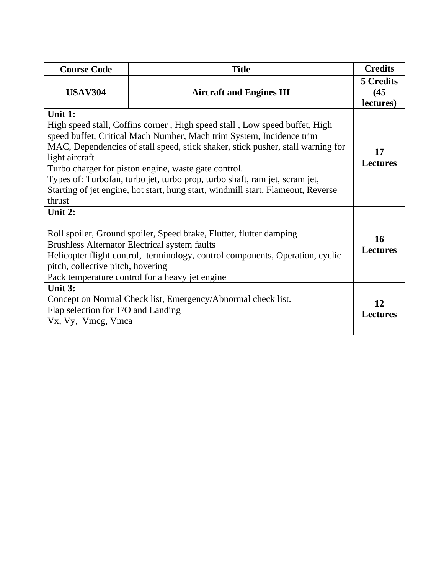| <b>Course Code</b>                                                                                                                                                                                                                                                                                                                                                                                                                                                                                      | <b>Title</b>                                                 | <b>Credits</b>                 |  |  |
|---------------------------------------------------------------------------------------------------------------------------------------------------------------------------------------------------------------------------------------------------------------------------------------------------------------------------------------------------------------------------------------------------------------------------------------------------------------------------------------------------------|--------------------------------------------------------------|--------------------------------|--|--|
| <b>USAV304</b>                                                                                                                                                                                                                                                                                                                                                                                                                                                                                          | <b>Aircraft and Engines III</b>                              | 5 Credits<br>(45)<br>lectures) |  |  |
| Unit 1:<br>High speed stall, Coffins corner, High speed stall, Low speed buffet, High<br>speed buffet, Critical Mach Number, Mach trim System, Incidence trim<br>MAC, Dependencies of stall speed, stick shaker, stick pusher, stall warning for<br>light aircraft<br>Turbo charger for piston engine, waste gate control.<br>Types of: Turbofan, turbo jet, turbo prop, turbo shaft, ram jet, scram jet,<br>Starting of jet engine, hot start, hung start, windmill start, Flameout, Reverse<br>thrust |                                                              |                                |  |  |
| Unit $2:$<br>Roll spoiler, Ground spoiler, Speed brake, Flutter, flutter damping<br><b>Brushless Alternator Electrical system faults</b><br>Helicopter flight control, terminology, control components, Operation, cyclic<br>pitch, collective pitch, hovering<br>Pack temperature control for a heavy jet engine                                                                                                                                                                                       |                                                              |                                |  |  |
| Unit 3:<br>Flap selection for T/O and Landing<br>Vx, Vy, Vmcg, Vmca                                                                                                                                                                                                                                                                                                                                                                                                                                     | Concept on Normal Check list, Emergency/Abnormal check list. | 12<br><b>Lectures</b>          |  |  |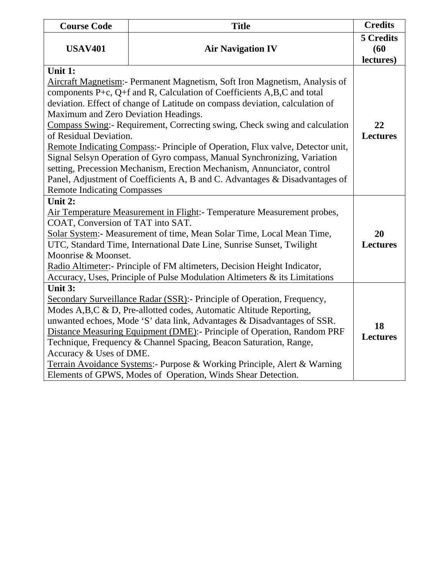| <b>Course Code</b>                                                                                                                                                                                                                                                                                                                                                                                                                                                                                                                                        | <b>Title</b>             | <b>Credits</b>                        |  |  |  |
|-----------------------------------------------------------------------------------------------------------------------------------------------------------------------------------------------------------------------------------------------------------------------------------------------------------------------------------------------------------------------------------------------------------------------------------------------------------------------------------------------------------------------------------------------------------|--------------------------|---------------------------------------|--|--|--|
| <b>USAV401</b>                                                                                                                                                                                                                                                                                                                                                                                                                                                                                                                                            | <b>Air Navigation IV</b> | <b>5 Credits</b><br>(60)<br>lectures) |  |  |  |
| Unit 1:<br>Aircraft Magnetism: - Permanent Magnetism, Soft Iron Magnetism, Analysis of<br>components P+c, Q+f and R, Calculation of Coefficients $A, B, C$ and total                                                                                                                                                                                                                                                                                                                                                                                      |                          |                                       |  |  |  |
| deviation. Effect of change of Latitude on compass deviation, calculation of<br>Maximum and Zero Deviation Headings.<br>Compass Swing:- Requirement, Correcting swing, Check swing and calculation                                                                                                                                                                                                                                                                                                                                                        |                          |                                       |  |  |  |
| of Residual Deviation.<br>Remote Indicating Compass:- Principle of Operation, Flux valve, Detector unit,<br>Signal Selsyn Operation of Gyro compass, Manual Synchronizing, Variation<br>setting, Precession Mechanism, Erection Mechanism, Annunciator, control<br>Panel, Adjustment of Coefficients A, B and C. Advantages & Disadvantages of                                                                                                                                                                                                            |                          |                                       |  |  |  |
| <b>Remote Indicating Compasses</b><br>Unit 2:<br>Air Temperature Measurement in Flight: - Temperature Measurement probes,<br>COAT, Conversion of TAT into SAT.<br>Solar System:- Measurement of time, Mean Solar Time, Local Mean Time,<br>UTC, Standard Time, International Date Line, Sunrise Sunset, Twilight<br>Moonrise & Moonset.<br>Radio Altimeter:- Principle of FM altimeters, Decision Height Indicator,<br>Accuracy, Uses, Principle of Pulse Modulation Altimeters & its Limitations                                                         |                          |                                       |  |  |  |
| Unit 3:<br>Secondary Surveillance Radar (SSR): Principle of Operation, Frequency,<br>Modes A,B,C & D, Pre-allotted codes, Automatic Altitude Reporting,<br>unwanted echoes, Mode 'S' data link, Advantages & Disadvantages of SSR.<br>Distance Measuring Equipment (DME):- Principle of Operation, Random PRF<br>Technique, Frequency & Channel Spacing, Beacon Saturation, Range,<br>Accuracy & Uses of DME.<br>Terrain Avoidance Systems:- Purpose & Working Principle, Alert & Warning<br>Elements of GPWS, Modes of Operation, Winds Shear Detection. |                          |                                       |  |  |  |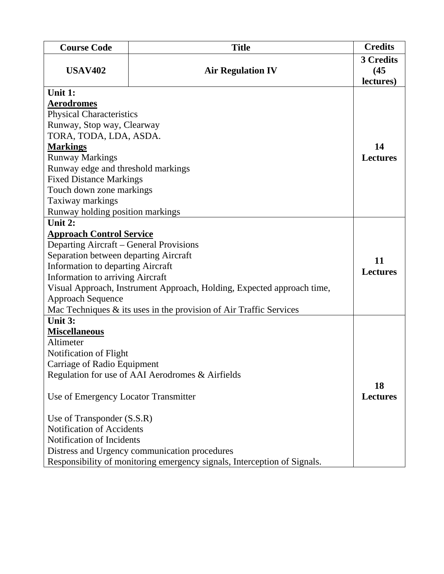| <b>Course Code</b>                                                               | <b>Title</b>                                                             | <b>Credits</b>                 |  |  |  |  |
|----------------------------------------------------------------------------------|--------------------------------------------------------------------------|--------------------------------|--|--|--|--|
| <b>USAV402</b>                                                                   | <b>Air Regulation IV</b>                                                 | 3 Credits<br>(45)<br>lectures) |  |  |  |  |
| Unit 1:                                                                          |                                                                          |                                |  |  |  |  |
| <b>Aerodromes</b>                                                                |                                                                          |                                |  |  |  |  |
| <b>Physical Characteristics</b>                                                  |                                                                          |                                |  |  |  |  |
| Runway, Stop way, Clearway                                                       |                                                                          |                                |  |  |  |  |
| TORA, TODA, LDA, ASDA.                                                           |                                                                          |                                |  |  |  |  |
| <b>Markings</b>                                                                  |                                                                          | 14                             |  |  |  |  |
| <b>Runway Markings</b>                                                           |                                                                          | <b>Lectures</b>                |  |  |  |  |
| Runway edge and threshold markings                                               |                                                                          |                                |  |  |  |  |
| <b>Fixed Distance Markings</b>                                                   |                                                                          |                                |  |  |  |  |
| Touch down zone markings                                                         |                                                                          |                                |  |  |  |  |
| Taxiway markings                                                                 |                                                                          |                                |  |  |  |  |
| Runway holding position markings                                                 |                                                                          |                                |  |  |  |  |
| Unit 2:                                                                          |                                                                          |                                |  |  |  |  |
| <b>Approach Control Service</b>                                                  |                                                                          |                                |  |  |  |  |
| Departing Aircraft – General Provisions<br>Separation between departing Aircraft |                                                                          |                                |  |  |  |  |
| <b>Information to departing Aircraft</b>                                         |                                                                          | 11                             |  |  |  |  |
| <b>Information to arriving Aircraft</b>                                          |                                                                          | <b>Lectures</b>                |  |  |  |  |
|                                                                                  | Visual Approach, Instrument Approach, Holding, Expected approach time,   |                                |  |  |  |  |
| <b>Approach Sequence</b>                                                         |                                                                          |                                |  |  |  |  |
|                                                                                  | Mac Techniques & its uses in the provision of Air Traffic Services       |                                |  |  |  |  |
| Unit 3:                                                                          |                                                                          |                                |  |  |  |  |
| <b>Miscellaneous</b>                                                             |                                                                          |                                |  |  |  |  |
| Altimeter                                                                        |                                                                          |                                |  |  |  |  |
| Notification of Flight                                                           |                                                                          |                                |  |  |  |  |
| Carriage of Radio Equipment                                                      |                                                                          |                                |  |  |  |  |
|                                                                                  | Regulation for use of AAI Aerodromes & Airfields                         |                                |  |  |  |  |
| Use of Emergency Locator Transmitter                                             |                                                                          |                                |  |  |  |  |
| Use of Transponder (S.S.R)                                                       |                                                                          |                                |  |  |  |  |
| Notification of Accidents                                                        |                                                                          |                                |  |  |  |  |
| Notification of Incidents                                                        |                                                                          |                                |  |  |  |  |
|                                                                                  | Distress and Urgency communication procedures                            |                                |  |  |  |  |
|                                                                                  | Responsibility of monitoring emergency signals, Interception of Signals. |                                |  |  |  |  |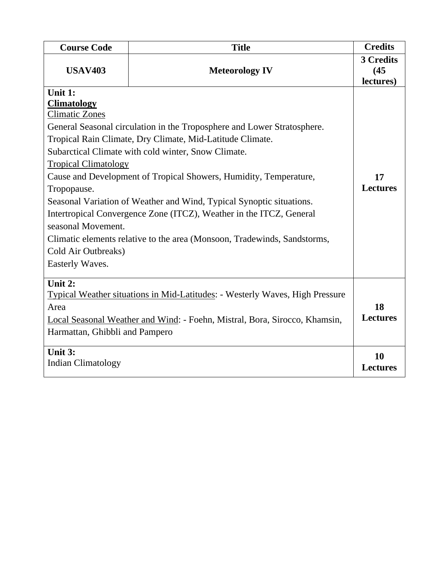| <b>Course Code</b>                                                                                                                                                   | <b>Title</b>                                                                                                                                                                                                                                                                                                                                                                                                                                                                                | <b>Credits</b>                 |
|----------------------------------------------------------------------------------------------------------------------------------------------------------------------|---------------------------------------------------------------------------------------------------------------------------------------------------------------------------------------------------------------------------------------------------------------------------------------------------------------------------------------------------------------------------------------------------------------------------------------------------------------------------------------------|--------------------------------|
| <b>USAV403</b>                                                                                                                                                       | <b>Meteorology IV</b>                                                                                                                                                                                                                                                                                                                                                                                                                                                                       | 3 Credits<br>(45)<br>lectures) |
| Unit 1:<br><b>Climatology</b><br><b>Climatic Zones</b><br><b>Tropical Climatology</b><br>Tropopause.<br>seasonal Movement.<br>Cold Air Outbreaks)<br>Easterly Waves. | General Seasonal circulation in the Troposphere and Lower Stratosphere.<br>Tropical Rain Climate, Dry Climate, Mid-Latitude Climate.<br>Subarctical Climate with cold winter, Snow Climate.<br>Cause and Development of Tropical Showers, Humidity, Temperature,<br>Seasonal Variation of Weather and Wind, Typical Synoptic situations.<br>Intertropical Convergence Zone (ITCZ), Weather in the ITCZ, General<br>Climatic elements relative to the area (Monsoon, Tradewinds, Sandstorms, | 17<br><b>Lectures</b>          |
| Unit 2:<br>Area<br>Harmattan, Ghibbli and Pampero                                                                                                                    | Typical Weather situations in Mid-Latitudes: - Westerly Waves, High Pressure<br>Local Seasonal Weather and Wind: - Foehn, Mistral, Bora, Sirocco, Khamsin,                                                                                                                                                                                                                                                                                                                                  | 18<br><b>Lectures</b>          |
| Unit 3:<br><b>Indian Climatology</b>                                                                                                                                 |                                                                                                                                                                                                                                                                                                                                                                                                                                                                                             | 10<br><b>Lectures</b>          |